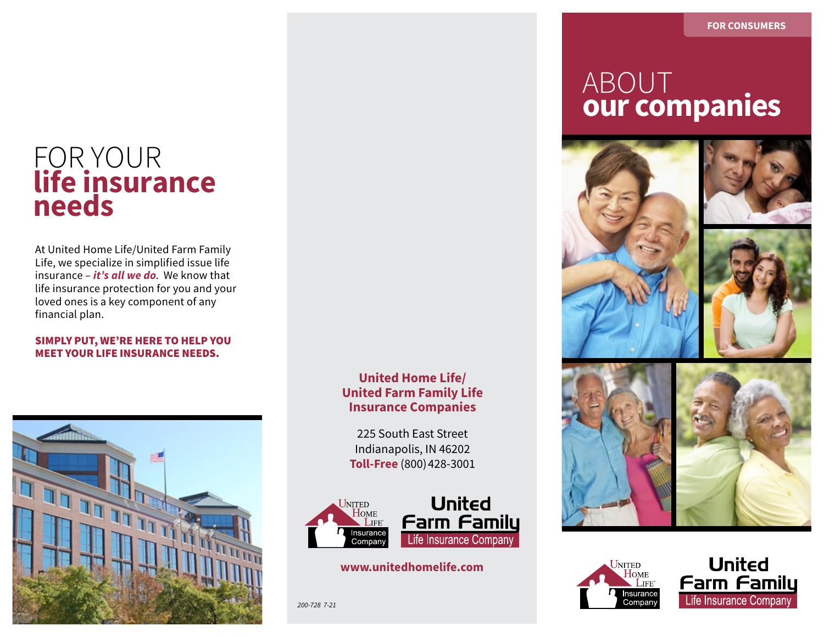### FOR YOUR **life insurance needs**

At United Home Life/United Farm Family Life, we specialize in simplified issue life insurance – *it's all we do*. We know that life insurance protection for you and your loved ones is a key component of any financial plan.

#### SIMPLY PUT, WE'RE HERE TO HELP YOU MEET YOUR LIFE INSURANCE NEEDS.



#### **United Home Life/ United Farm Family Life Insurance Companies**

225 South East Street Indianapolis, IN 46202 **Toll-Free** (800) 428-3001



#### **www.unitedhomelife.com**

*200-728 7-21*

### **INDOLLE** ABOUT **our companies**